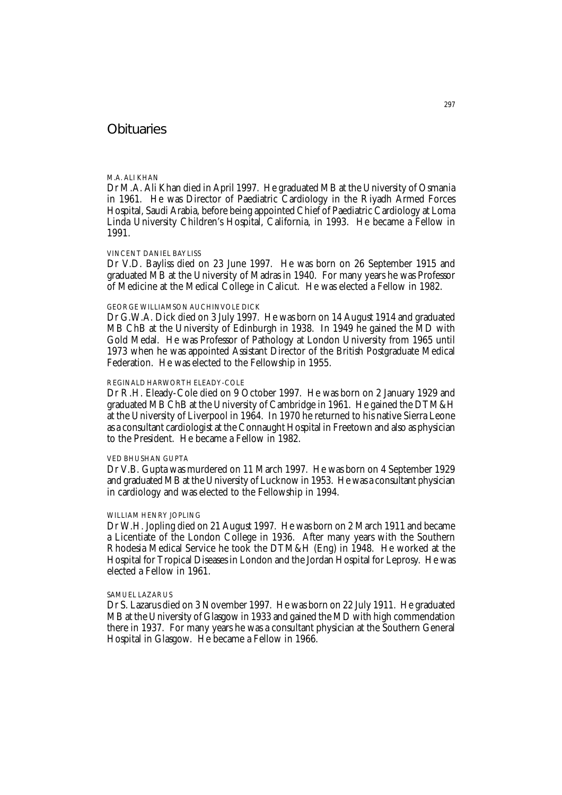# **Obituaries**

#### M.A. ALI KHAN

Dr M.A. Ali Khan died in April 1997. He graduated MB at the University of Osmania in 1961. He was Director of Paediatric Cardiology in the Riyadh Armed Forces Hospital, Saudi Arabia, before being appointed Chief of Paediatric Cardiology at Loma Linda University Children's Hospital, California, in 1993. He became a Fellow in 1991.

## VINCENT DANIEL BAYLISS

Dr V.D. Bayliss died on 23 June 1997. He was born on 26 September 1915 and graduated MB at the University of Madras in 1940. For many years he was Professor of Medicine at the Medical College in Calicut. He was elected a Fellow in 1982.

## GEORGE WILLIAMSON AUCHINVOLE DICK

Dr G.W.A. Dick died on 3 July 1997. He was born on 14 August 1914 and graduated MB ChB at the University of Edinburgh in 1938. In 1949 he gained the MD with Gold Medal. He was Professor of Pathology at London University from 1965 until 1973 when he was appointed Assistant Director of the British Postgraduate Medical Federation. He was elected to the Fellowship in 1955.

# REGINALD HARWORTH ELEADY-COLE

Dr R.H. Eleady-Cole died on 9 October 1997. He was born on 2 January 1929 and graduated MB ChB at the University of Cambridge in 1961. He gained the DTM&H at the University of Liverpool in 1964. In 1970 he returned to his native Sierra Leone as a consultant cardiologist at the Connaught Hospital in Freetown and also as physician to the President. He became a Fellow in 1982.

## VED BHUSHAN GUPTA

Dr V.B. Gupta was murdered on 11 March 1997. He was born on 4 September 1929 and graduated MB at the University of Lucknow in 1953. He was a consultant physician in cardiology and was elected to the Fellowship in 1994.

## WILLIAM HENRY JOPLING

Dr W.H. Jopling died on 21 August 1997. He was born on 2 March 1911 and became a Licentiate of the London College in 1936. After many years with the Southern Rhodesia Medical Service he took the DTM&H (Eng) in 1948. He worked at the Hospital for Tropical Diseases in London and the Jordan Hospital for Leprosy. He was elected a Fellow in 1961.

## SAMUEL LAZARUS

Dr S. Lazarus died on 3 November 1997. He was born on 22 July 1911. He graduated MB at the University of Glasgow in 1933 and gained the MD with high commendation there in 1937. For many years he was a consultant physician at the Southern General Hospital in Glasgow. He became a Fellow in 1966.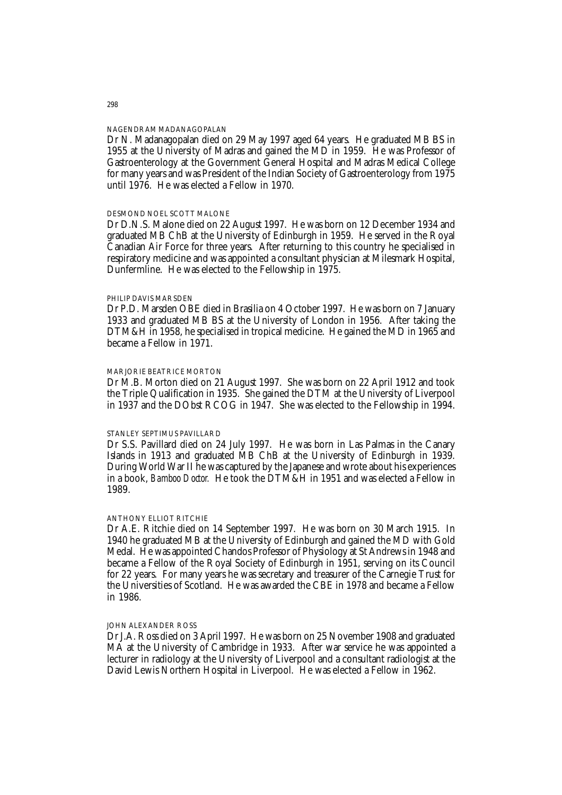#### NAGENDRAM MADANAGOPALAN

Dr N. Madanagopalan died on 29 May 1997 aged 64 years. He graduated MB BS in 1955 at the University of Madras and gained the MD in 1959. He was Professor of Gastroenterology at the Government General Hospital and Madras Medical College for many years and was President of the Indian Society of Gastroenterology from 1975 until 1976. He was elected a Fellow in 1970.

### DESMOND NOEL SCOTT MALONE

Dr D.N.S. Malone died on 22 August 1997. He was born on 12 December 1934 and graduated MB ChB at the University of Edinburgh in 1959. He served in the Royal Canadian Air Force for three years. After returning to this country he specialised in respiratory medicine and was appointed a consultant physician at Milesmark Hospital, Dunfermline. He was elected to the Fellowship in 1975.

#### PHILIP DAVIS MARSDEN

Dr P.D. Marsden OBE died in Brasilia on 4 October 1997. He was born on 7 January 1933 and graduated MB BS at the University of London in 1956. After taking the DTM&H in 1958, he specialised in tropical medicine. He gained the MD in 1965 and became a Fellow in 1971.

#### MARJORIE BEATRICE MORTON

Dr M.B. Morton died on 21 August 1997. She was born on 22 April 1912 and took the Triple Qualification in 1935. She gained the DTM at the University of Liverpool in 1937 and the DObst RCOG in 1947. She was elected to the Fellowship in 1994.

#### STANLEY SEPTIMUS PAVILLARD

Dr S.S. Pavillard died on 24 July 1997. He was born in Las Palmas in the Canary Islands in 1913 and graduated MB ChB at the University of Edinburgh in 1939. During World War II he was captured by the Japanese and wrote about his experiences in a book, *Bamboo Doctor.* He took the DTM&H in 1951 and was elected a Fellow in 1989.

#### ANTHONY ELLIOT RITCHIE

Dr A.E. Ritchie died on 14 September 1997. He was born on 30 March 1915. In 1940 he graduated MB at the University of Edinburgh and gained the MD with Gold Medal. He was appointed Chandos Professor of Physiology at St Andrews in 1948 and became a Fellow of the Royal Society of Edinburgh in 1951, serving on its Council for 22 years. For many years he was secretary and treasurer of the Carnegie Trust for the Universities of Scotland. He was awarded the CBE in 1978 and became a Fellow in 1986.

#### JOHN ALEXANDER ROSS

Dr J.A. Ross died on 3 April 1997. He was born on 25 November 1908 and graduated MA at the University of Cambridge in 1933. After war service he was appointed a lecturer in radiology at the University of Liverpool and a consultant radiologist at the David Lewis Northern Hospital in Liverpool. He was elected a Fellow in 1962.

298